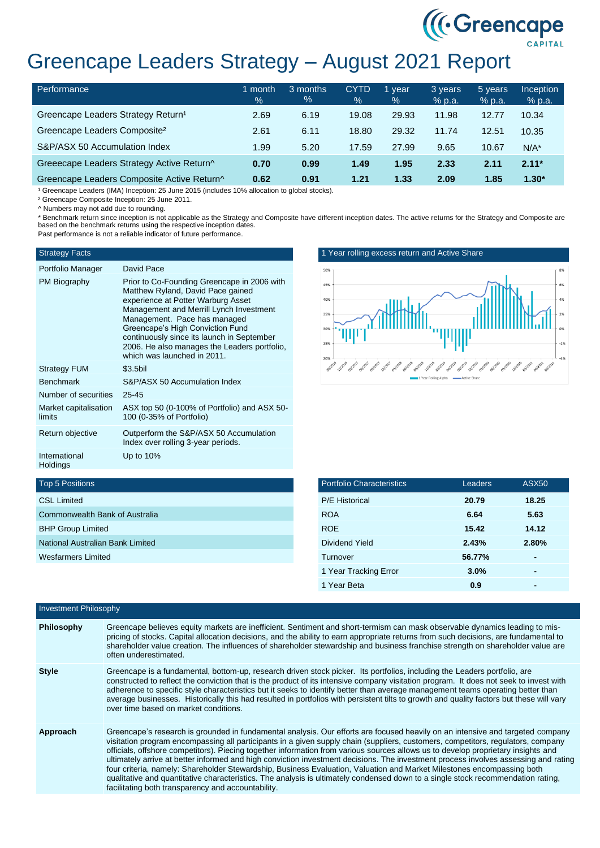

## Greencape Leaders Strategy – August 2021 Report

| Performance                                    | month<br>$\%$ | 3 months<br>% | <b>CYTD</b><br>$\frac{9}{6}$ | 1 year<br>$\%$ | 3 years<br>% p.a. | 5 years<br>% p.a. | <b>Inception</b><br>% p.a. |
|------------------------------------------------|---------------|---------------|------------------------------|----------------|-------------------|-------------------|----------------------------|
| Greencape Leaders Strategy Return <sup>1</sup> | 2.69          | 6.19          | 19.08                        | 29.93          | 11.98             | 12.77             | 10.34                      |
| Greencape Leaders Composite <sup>2</sup>       | 2.61          | 6.11          | 18.80                        | 29.32          | 11.74             | 12.51             | 10.35                      |
| S&P/ASX 50 Accumulation Index                  | 1.99          | 5.20          | 17.59                        | 27.99          | 9.65              | 10.67             | $N/A^*$                    |
| Greeecape Leaders Strategy Active Return^      | 0.70          | 0.99          | 1.49                         | 1.95           | 2.33              | 2.11              | $2.11*$                    |
| Greencape Leaders Composite Active Return^     | 0.62          | 0.91          | 1.21                         | 1.33           | 2.09              | 1.85              | $1.30*$                    |

<sup>1</sup> Greencape Leaders (IMA) Inception: 25 June 2015 (includes 10% allocation to global stocks).

² Greencape Composite Inception: 25 June 2011.

^ Numbers may not add due to rounding.

\* Benchmark return since inception is not applicable as the Strategy and Composite have different inception dates. The active returns for the Strategy and Composite are based on the benchmark returns using the respective inception dates. Past performance is not a reliable indicator of future performance.

## **Strategy Facts**

| Portfolio Manager               | David Pace                                                                                                                                                                                                                                                                                                                                                         |
|---------------------------------|--------------------------------------------------------------------------------------------------------------------------------------------------------------------------------------------------------------------------------------------------------------------------------------------------------------------------------------------------------------------|
| PM Biography                    | Prior to Co-Founding Greencape in 2006 with<br>Matthew Ryland, David Pace gained<br>experience at Potter Warburg Asset<br>Management and Merrill Lynch Investment<br>Management. Pace has managed<br>Greencape's High Conviction Fund<br>continuously since its launch in September<br>2006. He also manages the Leaders portfolio,<br>which was launched in 2011. |
| <b>Strategy FUM</b>             | \$3.5bil                                                                                                                                                                                                                                                                                                                                                           |
| <b>Benchmark</b>                | S&P/ASX 50 Accumulation Index                                                                                                                                                                                                                                                                                                                                      |
| Number of securities            | $25 - 45$                                                                                                                                                                                                                                                                                                                                                          |
| Market capitalisation<br>limits | ASX top 50 (0-100% of Portfolio) and ASX 50-<br>100 (0-35% of Portfolio)                                                                                                                                                                                                                                                                                           |
| Return objective                | Outperform the S&P/ASX 50 Accumulation<br>Index over rolling 3-year periods.                                                                                                                                                                                                                                                                                       |
| International<br>Holdings       | Up to 10%                                                                                                                                                                                                                                                                                                                                                          |





| <b>Top 5 Positions</b> |  |
|------------------------|--|
|------------------------|--|

| <b>CSL Limited</b>               |
|----------------------------------|
| Commonwealth Bank of Australia   |
| <b>BHP Group Limited</b>         |
| National Australian Bank Limited |
| Wesfarmers Limited               |
|                                  |

| <b>Portfolio Characteristics</b> | Leaders | <b>ASX50</b> |
|----------------------------------|---------|--------------|
| <b>P/E Historical</b>            | 20.79   | 18.25        |
| <b>ROA</b>                       | 6.64    | 5.63         |
| <b>ROE</b>                       | 15.42   | 14.12        |
| Dividend Yield                   | 2.43%   | 2.80%        |
| Turnover                         | 56.77%  |              |
| 1 Year Tracking Error            | 3.0%    |              |
| 1 Year Beta                      | 0.9     |              |

| Investment Philosophy |                                                                                                                                                                                                                                                                                                                                                                                                                                                                                                                                                                                                                                                                                                                                                                                                                                                                    |
|-----------------------|--------------------------------------------------------------------------------------------------------------------------------------------------------------------------------------------------------------------------------------------------------------------------------------------------------------------------------------------------------------------------------------------------------------------------------------------------------------------------------------------------------------------------------------------------------------------------------------------------------------------------------------------------------------------------------------------------------------------------------------------------------------------------------------------------------------------------------------------------------------------|
| Philosophy            | Greencape believes equity markets are inefficient. Sentiment and short-termism can mask observable dynamics leading to mis-<br>pricing of stocks. Capital allocation decisions, and the ability to earn appropriate returns from such decisions, are fundamental to<br>shareholder value creation. The influences of shareholder stewardship and business franchise strength on shareholder value are<br>often underestimated.                                                                                                                                                                                                                                                                                                                                                                                                                                     |
| <b>Style</b>          | Greencape is a fundamental, bottom-up, research driven stock picker. Its portfolios, including the Leaders portfolio, are<br>constructed to reflect the conviction that is the product of its intensive company visitation program. It does not seek to invest with<br>adherence to specific style characteristics but it seeks to identify better than average management teams operating better than<br>average businesses. Historically this had resulted in portfolios with persistent tilts to growth and quality factors but these will vary<br>over time based on market conditions.                                                                                                                                                                                                                                                                        |
| Approach              | Greencape's research is grounded in fundamental analysis. Our efforts are focused heavily on an intensive and targeted company<br>visitation program encompassing all participants in a given supply chain (suppliers, customers, competitors, regulators, company<br>officials, offshore competitors). Piecing together information from various sources allows us to develop proprietary insights and<br>ultimately arrive at better informed and high conviction investment decisions. The investment process involves assessing and rating<br>four criteria, namely: Shareholder Stewardship, Business Evaluation, Valuation and Market Milestones encompassing both<br>qualitative and quantitative characteristics. The analysis is ultimately condensed down to a single stock recommendation rating,<br>facilitating both transparency and accountability. |